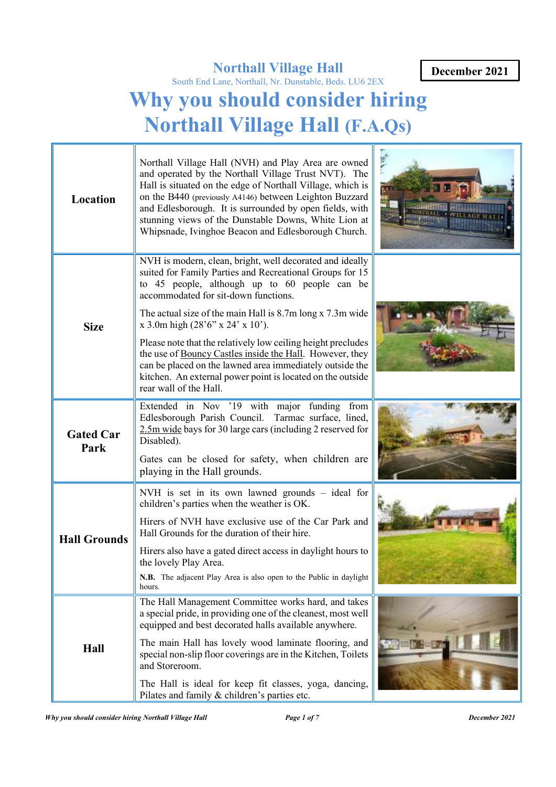# **Northall Village Hall**

# South End Lane, Northall, Nr. Dunstable, Beds. LU6 2EX **Why you should consider hiring Northall Village Hall (F.A.Qs)**

| Location                 | Northall Village Hall (NVH) and Play Area are owned<br>and operated by the Northall Village Trust NVT). The<br>Hall is situated on the edge of Northall Village, which is<br>on the B440 (previously A4146) between Leighton Buzzard<br>and Edlesborough. It is surrounded by open fields, with<br>stunning views of the Dunstable Downs, White Lion at<br>Whipsnade, Ivinghoe Beacon and Edlesborough Church. |  |
|--------------------------|----------------------------------------------------------------------------------------------------------------------------------------------------------------------------------------------------------------------------------------------------------------------------------------------------------------------------------------------------------------------------------------------------------------|--|
| <b>Size</b>              | NVH is modern, clean, bright, well decorated and ideally<br>suited for Family Parties and Recreational Groups for 15<br>to 45 people, although up to 60 people can be<br>accommodated for sit-down functions.                                                                                                                                                                                                  |  |
|                          | The actual size of the main Hall is 8.7m long x 7.3m wide<br>$x$ 3.0m high $(28'6'' \times 24' \times 10')$ .                                                                                                                                                                                                                                                                                                  |  |
|                          | Please note that the relatively low ceiling height precludes<br>the use of Bouncy Castles inside the Hall. However, they<br>can be placed on the lawned area immediately outside the<br>kitchen. An external power point is located on the outside<br>rear wall of the Hall.                                                                                                                                   |  |
| <b>Gated Car</b><br>Park | Extended in Nov '19 with major funding from<br>Edlesborough Parish Council. Tarmac surface, lined,<br>2.5m wide bays for 30 large cars (including 2 reserved for<br>Disabled).                                                                                                                                                                                                                                 |  |
|                          | Gates can be closed for safety, when children are<br>playing in the Hall grounds.                                                                                                                                                                                                                                                                                                                              |  |
|                          | NVH is set in its own lawned grounds - ideal for<br>children's parties when the weather is OK.                                                                                                                                                                                                                                                                                                                 |  |
| <b>Hall Grounds</b>      | Hirers of NVH have exclusive use of the Car Park and<br>Hall Grounds for the duration of their hire.                                                                                                                                                                                                                                                                                                           |  |
|                          | Hirers also have a gated direct access in daylight hours to<br>the lovely Play Area.                                                                                                                                                                                                                                                                                                                           |  |
|                          | N.B. The adjacent Play Area is also open to the Public in daylight<br>hours.                                                                                                                                                                                                                                                                                                                                   |  |
| Hall                     | The Hall Management Committee works hard, and takes<br>a special pride, in providing one of the cleanest, most well<br>equipped and best decorated halls available anywhere.                                                                                                                                                                                                                                   |  |
|                          | The main Hall has lovely wood laminate flooring, and<br>special non-slip floor coverings are in the Kitchen, Toilets<br>and Storeroom.                                                                                                                                                                                                                                                                         |  |
|                          | The Hall is ideal for keep fit classes, yoga, dancing,<br>Pilates and family & children's parties etc.                                                                                                                                                                                                                                                                                                         |  |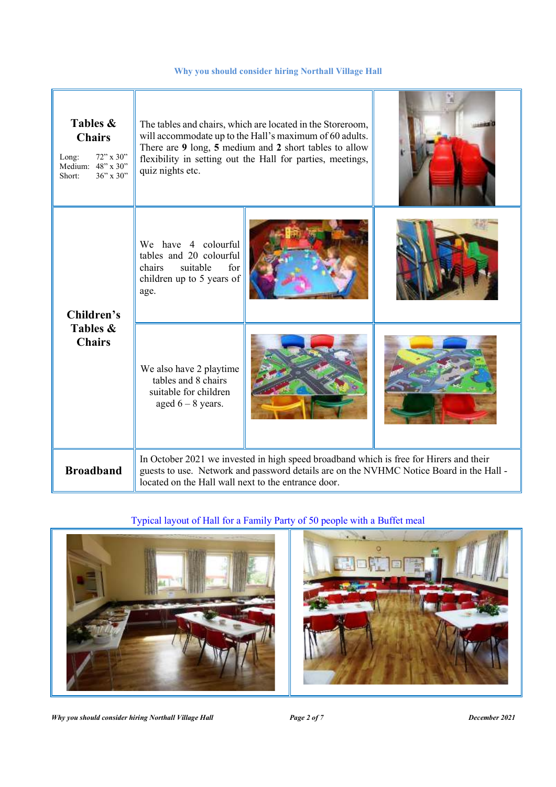| Tables &<br><b>Chairs</b><br>$72$ " x 30"<br>Long:<br>Medium: 48" x 30"<br>36" x 30"<br>Short: | The tables and chairs, which are located in the Storeroom,<br>will accommodate up to the Hall's maximum of 60 adults.<br>There are 9 long, 5 medium and 2 short tables to allow<br>flexibility in setting out the Hall for parties, meetings,<br>quiz nights etc. |  |  |
|------------------------------------------------------------------------------------------------|-------------------------------------------------------------------------------------------------------------------------------------------------------------------------------------------------------------------------------------------------------------------|--|--|
| Children's<br>Tables &<br><b>Chairs</b>                                                        | We have 4 colourful<br>tables and 20 colourful<br>chairs<br>suitable<br>for<br>children up to 5 years of<br>age.                                                                                                                                                  |  |  |
|                                                                                                | We also have 2 playtime<br>tables and 8 chairs<br>suitable for children<br>aged $6 - 8$ years.                                                                                                                                                                    |  |  |
| <b>Broadband</b>                                                                               | In October 2021 we invested in high speed broadband which is free for Hirers and their<br>guests to use. Network and password details are on the NVHMC Notice Board in the Hall -<br>located on the Hall wall next to the entrance door.                          |  |  |

# Typical layout of Hall for a Family Party of 50 people with a Buffet meal



*Why you should consider hiring Northall Village Hall Page 2 of 7 December 2021*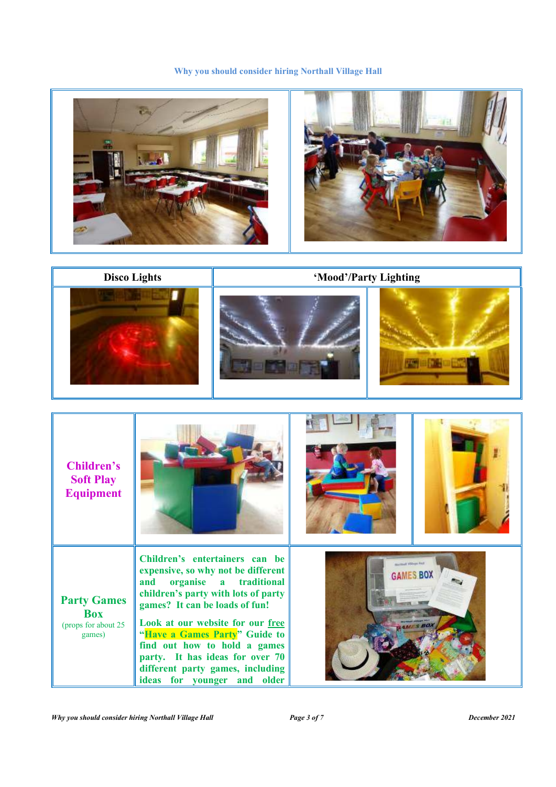



| <b>Children's</b><br><b>Soft Play</b><br><b>Equipment</b>         |                                                                                                                                                                                                                                                                                                                                                                                                            |                                                 |
|-------------------------------------------------------------------|------------------------------------------------------------------------------------------------------------------------------------------------------------------------------------------------------------------------------------------------------------------------------------------------------------------------------------------------------------------------------------------------------------|-------------------------------------------------|
| <b>Party Games</b><br><b>Box</b><br>(props for about 25<br>games) | Children's entertainers can be<br>expensive, so why not be different<br>organise<br>traditional<br>and<br>$\mathbf{a}$<br>children's party with lots of party<br>games? It can be loads of fun!<br>Look at our website for our free<br>"Have a Games Party" Guide to<br>find out how to hold a games<br>party. It has ideas for over 70<br>different party games, including<br>ideas for younger and older | <b>Barthad Villege Priz</b><br><b>GAMES BOX</b> |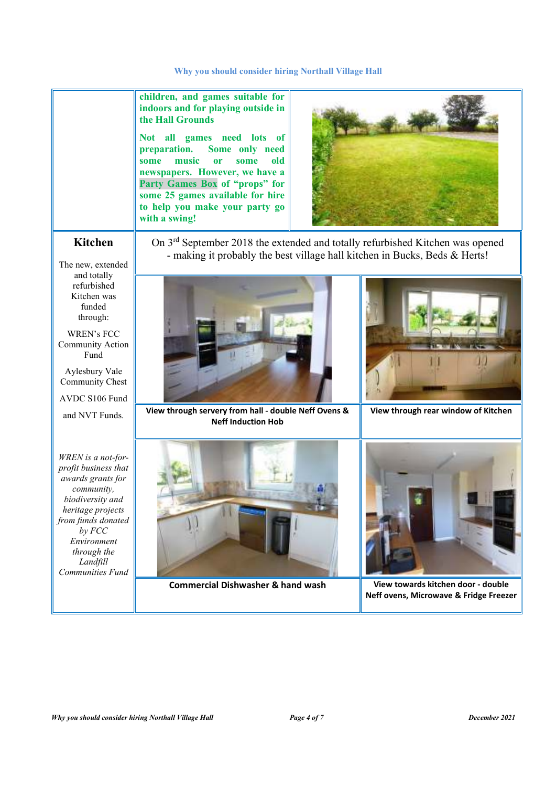**children, and games suitable for indoors and for playing outside in the Hall Grounds** 

**Not all games need lots of preparation. Some only need some music or some old newspapers. However, we have a Party Games Box of "props" for some 25 games available for hire to help you make your party go with a swing!** 



# **Kitchen**

On 3<sup>rd</sup> September 2018 the extended and totally refurbished Kitchen was opened - making it probably the best village hall kitchen in Bucks, Beds & Herts!

The new, extended and totally refurbished Kitchen was funded through:

WREN's FCC Community Action Fund

Aylesbury Vale Community Chest

AVDC S106 Fund

and NVT Funds.



**View through servery from hall - double Neff Ovens & Neff Induction Hob** 



**View through rear window of Kitchen**

*WREN is a not-forprofit business that awards grants for community, biodiversity and heritage projects from funds donated by FCC Environment through the Landfill Communities Fund* 



**Commercial Dishwasher & hand wash View towards kitchen door - double** 



**Neff ovens, Microwave & Fridge Freezer**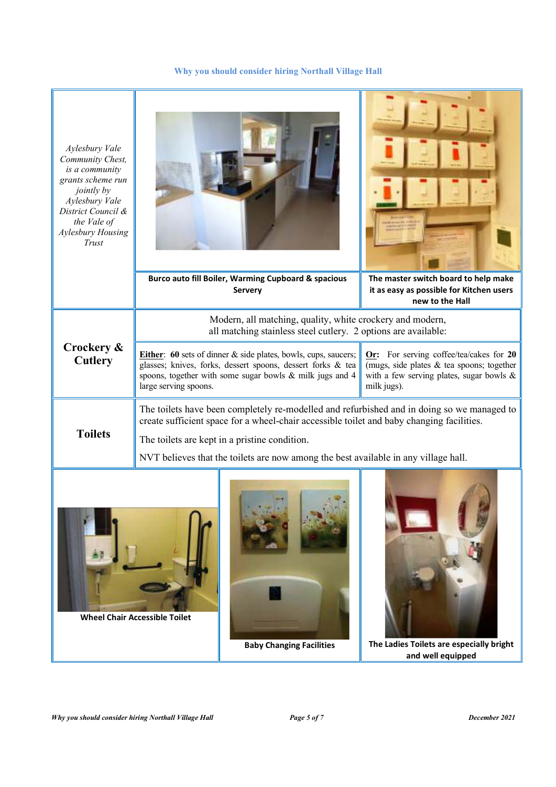| Aylesbury Vale<br>Community Chest,<br>is a community<br>grants scheme run<br>jointly by<br>Aylesbury Vale<br>District Council &<br>the Vale of<br>Aylesbury Housing<br>Trust |                                                                                                                                                                                         | Burco auto fill Boiler, Warming Cupboard & spacious                                                                                                                                              | The master switch board to help make                                                                                                               |
|------------------------------------------------------------------------------------------------------------------------------------------------------------------------------|-----------------------------------------------------------------------------------------------------------------------------------------------------------------------------------------|--------------------------------------------------------------------------------------------------------------------------------------------------------------------------------------------------|----------------------------------------------------------------------------------------------------------------------------------------------------|
|                                                                                                                                                                              |                                                                                                                                                                                         | Servery                                                                                                                                                                                          | it as easy as possible for Kitchen users<br>new to the Hall                                                                                        |
|                                                                                                                                                                              | Modern, all matching, quality, white crockery and modern,<br>all matching stainless steel cutlery. 2 options are available:                                                             |                                                                                                                                                                                                  |                                                                                                                                                    |
| Crockery &<br><b>Cutlery</b>                                                                                                                                                 | large serving spoons.                                                                                                                                                                   | <b>Either:</b> 60 sets of dinner & side plates, bowls, cups, saucers;<br>glasses; knives, forks, dessert spoons, dessert forks & tea<br>spoons, together with some sugar bowls & milk jugs and 4 | Or: For serving coffee/tea/cakes for 20<br>(mugs, side plates & tea spoons; together<br>with a few serving plates, sugar bowls $\&$<br>milk jugs). |
| <b>Toilets</b>                                                                                                                                                               | The toilets have been completely re-modelled and refurbished and in doing so we managed to<br>create sufficient space for a wheel-chair accessible toilet and baby changing facilities. |                                                                                                                                                                                                  |                                                                                                                                                    |
|                                                                                                                                                                              | The toilets are kept in a pristine condition.<br>NVT believes that the toilets are now among the best available in any village hall.                                                    |                                                                                                                                                                                                  |                                                                                                                                                    |
| <b>Wheel Chair Accessible Toilet</b>                                                                                                                                         |                                                                                                                                                                                         | <b>Baby Changing Facilities</b>                                                                                                                                                                  | The Ladies Toilets are especially bright<br>and well equipped                                                                                      |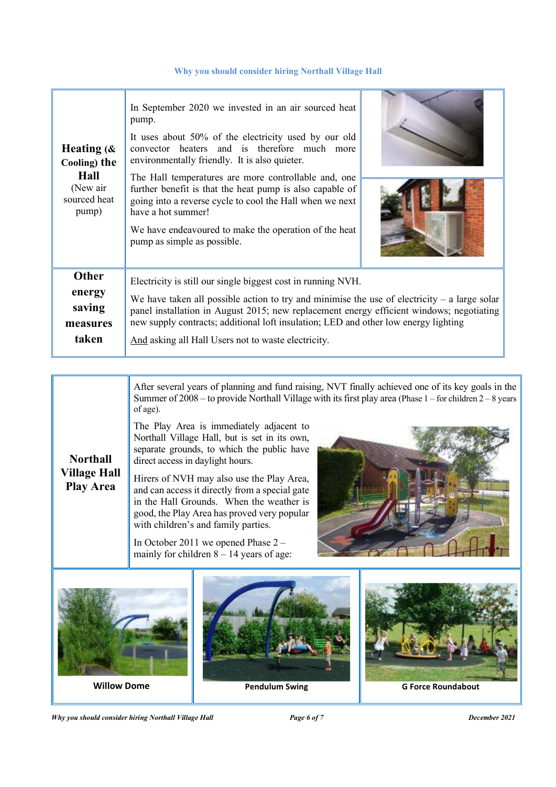| Heating $(\&$<br>Cooling) the<br><b>Hall</b><br>(New air)<br>sourced heat<br>pump) | In September 2020 we invested in an air sourced heat<br>pump.<br>It uses about 50% of the electricity used by our old<br>convector heaters and is therefore much more<br>environmentally friendly. It is also quieter.<br>The Hall temperatures are more controllable and, one<br>further benefit is that the heat pump is also capable of<br>going into a reverse cycle to cool the Hall when we next<br>have a hot summer!<br>We have endeavoured to make the operation of the heat<br>pump as simple as possible. |  |  |
|------------------------------------------------------------------------------------|----------------------------------------------------------------------------------------------------------------------------------------------------------------------------------------------------------------------------------------------------------------------------------------------------------------------------------------------------------------------------------------------------------------------------------------------------------------------------------------------------------------------|--|--|
| <b>Other</b><br>energy<br>saving<br>measures                                       | Electricity is still our single biggest cost in running NVH.<br>We have taken all possible action to try and minimise the use of electricity $-$ a large solar<br>panel installation in August 2015; new replacement energy efficient windows; negotiating<br>new supply contracts; additional loft insulation; LED and other low energy lighting                                                                                                                                                                    |  |  |
| taken                                                                              | And asking all Hall Users not to waste electricity.                                                                                                                                                                                                                                                                                                                                                                                                                                                                  |  |  |

After several years of planning and fund raising, NVT finally achieved one of its key goals in the Summer of  $2008 -$  to provide Northall Village with its first play area (Phase 1 – for children 2 – 8 years of age).

The Play Area is immediately adjacent to Northall Village Hall, but is set in its own, separate grounds, to which the public have direct access in daylight hours.

**Village Hall**  Hirers of NVH may also use the Play Area, and can access it directly from a special gate in the Hall Grounds. When the weather is good, the Play Area has proved very popular with children's and family parties.

> In October 2011 we opened Phase 2 – mainly for children  $8 - 14$  years of age:





*Why you should consider hiring Northall Village Hall Page 6 of 7 December 2021* 

**Northall** 

**Play Area**